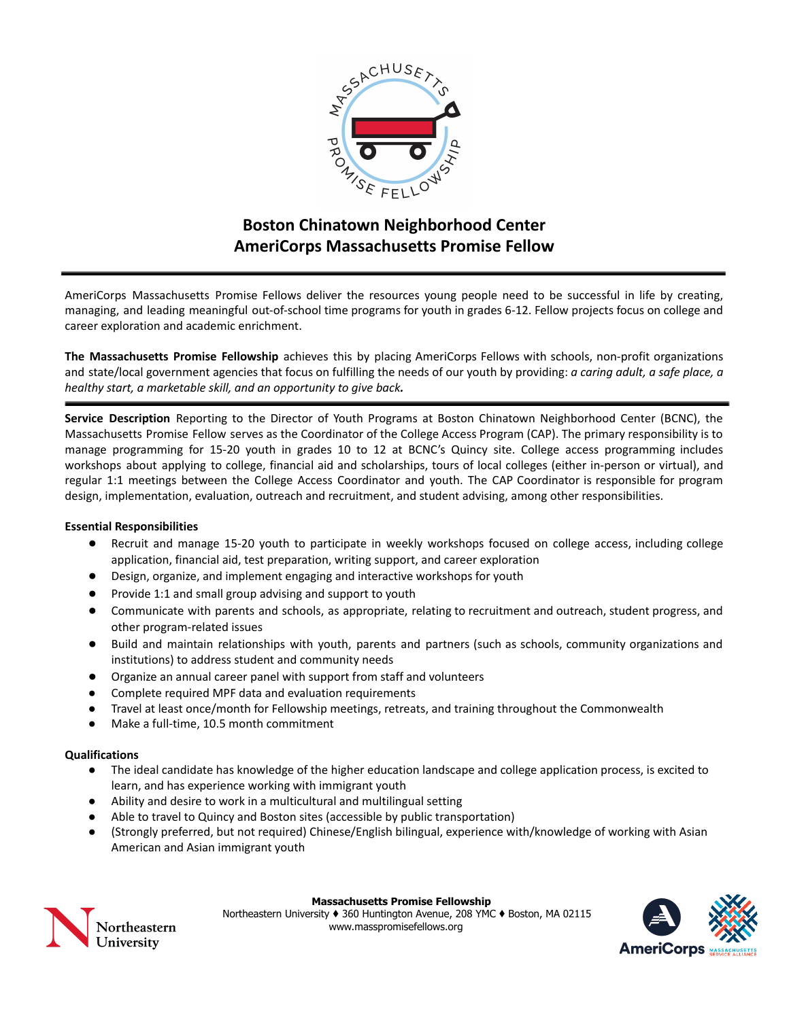

# **Boston Chinatown Neighborhood Center AmeriCorps Massachusetts Promise Fellow**

AmeriCorps Massachusetts Promise Fellows deliver the resources young people need to be successful in life by creating, managing, and leading meaningful out-of-school time programs for youth in grades 6-12. Fellow projects focus on college and career exploration and academic enrichment.

**The Massachusetts Promise Fellowship** achieves this by placing AmeriCorps Fellows with schools, non-profit organizations and state/local government agencies that focus on fulfilling the needs of our youth by providing: *a caring adult, a safe place, a healthy start, a marketable skill, and an opportunity to give back.*

**Service Description** Reporting to the Director of Youth Programs at Boston Chinatown Neighborhood Center (BCNC), the Massachusetts Promise Fellow serves as the Coordinator of the College Access Program (CAP). The primary responsibility is to manage programming for 15-20 youth in grades 10 to 12 at BCNC's Quincy site. College access programming includes workshops about applying to college, financial aid and scholarships, tours of local colleges (either in-person or virtual), and regular 1:1 meetings between the College Access Coordinator and youth. The CAP Coordinator is responsible for program design, implementation, evaluation, outreach and recruitment, and student advising, among other responsibilities.

## **Essential Responsibilities**

- Recruit and manage 15-20 youth to participate in weekly workshops focused on college access, including college application, financial aid, test preparation, writing support, and career exploration
- Design, organize, and implement engaging and interactive workshops for youth
- Provide 1:1 and small group advising and support to youth
- Communicate with parents and schools, as appropriate, relating to recruitment and outreach, student progress, and other program-related issues
- Build and maintain relationships with youth, parents and partners (such as schools, community organizations and institutions) to address student and community needs
- Organize an annual career panel with support from staff and volunteers
- Complete required MPF data and evaluation requirements
- Travel at least once/month for Fellowship meetings, retreats, and training throughout the Commonwealth
- Make a full-time, 10.5 month commitment

## **Qualifications**

- The ideal candidate has knowledge of the higher education landscape and college application process, is excited to learn, and has experience working with immigrant youth
- Ability and desire to work in a multicultural and multilingual setting
- Able to travel to Quincy and Boston sites (accessible by public transportation)
- (Strongly preferred, but not required) Chinese/English bilingual, experience with/knowledge of working with Asian American and Asian immigrant youth



#### **Massachusetts Promise Fellowship**

Northeastern University ♦ 360 Huntington Avenue, 208 YMC ♦ Boston, MA 02115 www.masspromisefellows.org